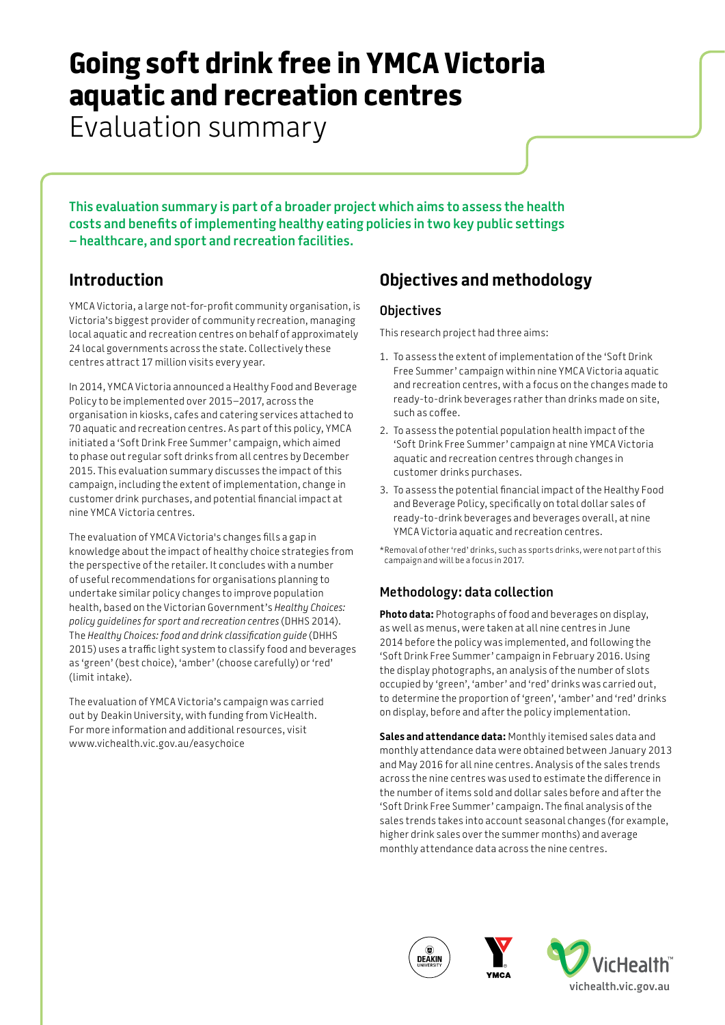# **Going soft drink free in YMCA Victoria aquatic and recreation centres**

Evaluation summary

**This evaluation summary is part of a broader project which aims to assess the health costs and benefits of implementing healthy eating policies in two key public settings – healthcare, and sport and recreation facilities.**

## **Introduction**

YMCA Victoria, a large not-for-profit community organisation, is Victoria's biggest provider of community recreation, managing local aquatic and recreation centres on behalf of approximately 24 local governments across the state. Collectively these centres attract 17 million visits every year.

In 2014, YMCA Victoria announced a Healthy Food and Beverage Policy to be implemented over 2015–2017, across the organisation in kiosks, cafes and catering services attached to 70 aquatic and recreation centres. As part of this policy, YMCA initiated a 'Soft Drink Free Summer' campaign, which aimed to phase out regular soft drinks from all centres by December 2015. This evaluation summary discusses the impact of this campaign, including the extent of implementation, change in customer drink purchases, and potential financial impact at nine YMCA Victoria centres.

The evaluation of YMCA Victoria's changes fills a gap in knowledge about the impact of healthy choice strategies from the perspective of the retailer. It concludes with a number of useful recommendations for organisations planning to undertake similar policy changes to improve population health, based on the Victorian Government's *Healthy Choices: policy guidelines for sport and recreation centres* (DHHS 2014). The *Healthy Choices: food and drink classification guide* (DHHS 2015) uses a traffic light system to classify food and beverages as 'green' (best choice), 'amber' (choose carefully) or 'red' (limit intake).

The evaluation of YMCA Victoria's campaign was carried out by Deakin University, with funding from VicHealth. For more information and additional resources, visit www.vichealth.vic.gov.au/easychoice

# **Objectives and methodology**

#### **Objectives**

This research project had three aims:

- 1. To assess the extent of implementation of the 'Soft Drink Free Summer' campaign within nine YMCA Victoria aquatic and recreation centres, with a focus on the changes made to ready-to-drink beverages rather than drinks made on site, such as coffee.
- 2. To assess the potential population health impact of the 'Soft Drink Free Summer' campaign at nine YMCA Victoria aquatic and recreation centres through changes in customer drinks purchases.
- 3. To assess the potential financial impact of the Healthy Food and Beverage Policy, specifically on total dollar sales of ready-to-drink beverages and beverages overall, at nine YMCA Victoria aquatic and recreation centres.

\*Removal of other 'red' drinks, such as sports drinks, were not part of this campaign and will be a focus in 2017.

### **Methodology: data collection**

**Photo data:** Photographs of food and beverages on display, as well as menus, were taken at all nine centres in June 2014 before the policy was implemented, and following the 'Soft Drink Free Summer' campaign in February 2016. Using the display photographs, an analysis of the number of slots occupied by 'green', 'amber' and 'red' drinks was carried out, to determine the proportion of 'green', 'amber' and 'red' drinks on display, before and after the policy implementation.

**Sales and attendance data:** Monthly itemised sales data and monthly attendance data were obtained between January 2013 and May 2016 for all nine centres. Analysis of the sales trends across the nine centres was used to estimate the difference in the number of items sold and dollar sales before and after the 'Soft Drink Free Summer' campaign. The final analysis of the sales trends takes into account seasonal changes (for example, higher drink sales over the summer months) and average monthly attendance data across the nine centres.





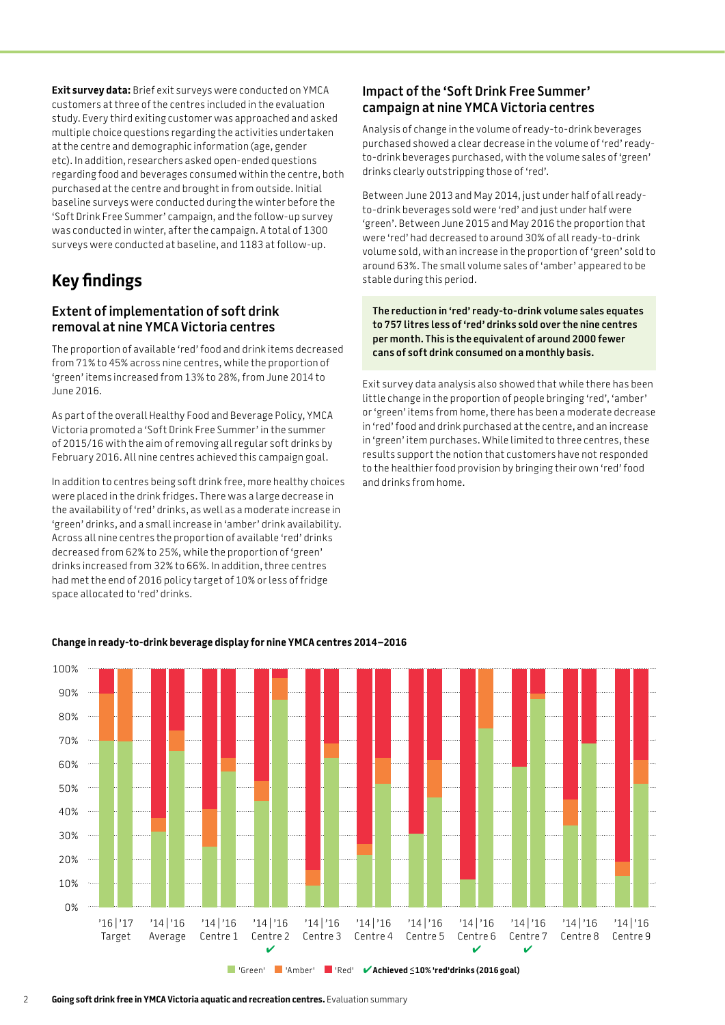**Exit survey data:** Brief exit surveys were conducted on YMCA customers at three of the centres included in the evaluation study. Every third exiting customer was approached and asked multiple choice questions regarding the activities undertaken at the centre and demographic information (age, gender etc). In addition, researchers asked open-ended questions regarding food and beverages consumed within the centre, both purchased at the centre and brought in from outside. Initial baseline surveys were conducted during the winter before the 'Soft Drink Free Summer' campaign, and the follow-up survey was conducted in winter, after the campaign. A total of 1300 surveys were conducted at baseline, and 1183 at follow-up.

## **Key findings**

#### **Extent of implementation of soft drink removal at nine YMCA Victoria centres**

The proportion of available 'red' food and drink items decreased from 71% to 45% across nine centres, while the proportion of 'green' items increased from 13% to 28%, from June 2014 to June 2016.

As part of the overall Healthy Food and Beverage Policy, YMCA Victoria promoted a 'Soft Drink Free Summer' in the summer of 2015/16 with the aim of removing all regular soft drinks by February 2016. All nine centres achieved this campaign goal.

In addition to centres being soft drink free, more healthy choices were placed in the drink fridges. There was a large decrease in the availability of 'red' drinks, as well as a moderate increase in 'green' drinks, and a small increase in 'amber' drink availability. Across all nine centres the proportion of available 'red' drinks decreased from 62% to 25%, while the proportion of 'green' drinks increased from 32% to 66%. In addition, three centres had met the end of 2016 policy target of 10% or less of fridge space allocated to 'red' drinks.

#### **Impact of the 'Soft Drink Free Summer' campaign at nine YMCA Victoria centres**

Analysis of change in the volume of ready-to-drink beverages purchased showed a clear decrease in the volume of 'red' readyto-drink beverages purchased, with the volume sales of 'green' drinks clearly outstripping those of 'red'.

Between June 2013 and May 2014, just under half of all readyto-drink beverages sold were 'red' and just under half were 'green'. Between June 2015 and May 2016 the proportion that were 'red' had decreased to around 30% of all ready-to-drink volume sold, with an increase in the proportion of 'green' sold to around 63%. The small volume sales of 'amber' appeared to be stable during this period.

**The reduction in 'red' ready-to-drink volume sales equates to 757 litres less of 'red' drinks sold over the nine centres per month. This is the equivalent of around 2000 fewer cans of soft drink consumed on a monthly basis.**

Exit survey data analysis also showed that while there has been little change in the proportion of people bringing 'red', 'amber' or 'green' items from home, there has been a moderate decrease in 'red' food and drink purchased at the centre, and an increase in 'green' item purchases. While limited to three centres, these results support the notion that customers have not responded to the healthier food provision by bringing their own 'red' food and drinks from home.



#### **Change in ready-to-drink beverage display for nine YMCA centres 2014–2016**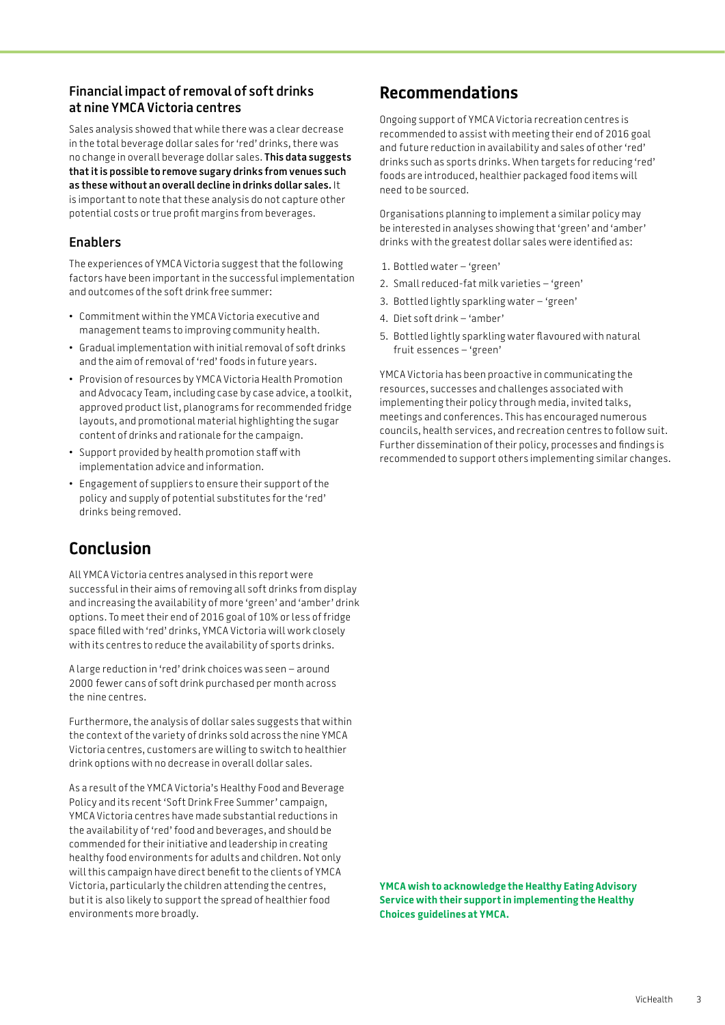#### **Financial impact of removal of soft drinks at nine YMCA Victoria centres**

Sales analysis showed that while there was a clear decrease in the total beverage dollar sales for 'red' drinks, there was no change in overall beverage dollar sales. **This data suggests that it is possible to remove sugary drinks from venues such as these without an overall decline in drinks dollar sales.** It is important to note that these analysis do not capture other potential costs or true profit margins from beverages.

#### **Enablers**

The experiences of YMCA Victoria suggest that the following factors have been important in the successful implementation and outcomes of the soft drink free summer:

- Commitment within the YMCA Victoria executive and management teams to improving community health.
- Gradual implementation with initial removal of soft drinks and the aim of removal of 'red' foods in future years.
- Provision of resources by YMCA Victoria Health Promotion and Advocacy Team, including case by case advice, a toolkit, approved product list, planograms for recommended fridge layouts, and promotional material highlighting the sugar content of drinks and rationale for the campaign.
- Support provided by health promotion staff with implementation advice and information.
- Engagement of suppliers to ensure their support of the policy and supply of potential substitutes for the 'red' drinks being removed.

## **Conclusion**

All YMCA Victoria centres analysed in this report were successful in their aims of removing all soft drinks from display and increasing the availability of more 'green' and 'amber' drink options. To meet their end of 2016 goal of 10% or less of fridge space filled with 'red' drinks, YMCA Victoria will work closely with its centres to reduce the availability of sports drinks.

A large reduction in 'red' drink choices was seen – around 2000 fewer cans of soft drink purchased per month across the nine centres.

Furthermore, the analysis of dollar sales suggests that within the context of the variety of drinks sold across the nine YMCA Victoria centres, customers are willing to switch to healthier drink options with no decrease in overall dollar sales.

As a result of the YMCA Victoria's Healthy Food and Beverage Policy and its recent 'Soft Drink Free Summer' campaign, YMCA Victoria centres have made substantial reductions in the availability of 'red' food and beverages, and should be commended for their initiative and leadership in creating healthy food environments for adults and children. Not only will this campaign have direct benefit to the clients of YMCA Victoria, particularly the children attending the centres, but it is also likely to support the spread of healthier food environments more broadly.

## **Recommendations**

Ongoing support of YMCA Victoria recreation centres is recommended to assist with meeting their end of 2016 goal and future reduction in availability and sales of other 'red' drinks such as sports drinks. When targets for reducing 'red' foods are introduced, healthier packaged food items will need to be sourced.

Organisations planning to implement a similar policy may be interested in analyses showing that 'green' and 'amber' drinks with the greatest dollar sales were identified as:

- 1. Bottled water 'green'
- 2. Small reduced-fat milk varieties 'green'
- 3. Bottled lightly sparkling water 'green'
- 4. Diet soft drink 'amber'
- 5. Bottled lightly sparkling water flavoured with natural fruit essences – 'green'

YMCA Victoria has been proactive in communicating the resources, successes and challenges associated with implementing their policy through media, invited talks, meetings and conferences. This has encouraged numerous councils, health services, and recreation centres to follow suit. Further dissemination of their policy, processes and findings is recommended to support others implementing similar changes.

**YMCA wish to acknowledge the Healthy Eating Advisory Service with their support in implementing the Healthy Choices guidelines at YMCA.**